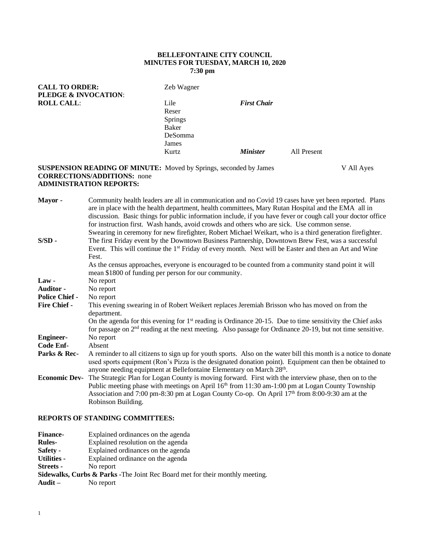## **BELLEFONTAINE CITY COUNCIL MINUTES FOR TUESDAY, MARCH 10, 2020 7:30 pm**

| <b>CALL TO ORDER:</b><br><b>PLEDGE &amp; INVOCATION:</b> | Zeb Wagner     |                        |             |
|----------------------------------------------------------|----------------|------------------------|-------------|
| <b>ROLL CALL:</b>                                        | Lile           | <b>First Chair</b>     |             |
|                                                          | Reser          |                        |             |
|                                                          | <b>Springs</b> |                        |             |
|                                                          | Baker          |                        |             |
|                                                          | DeSomma        |                        |             |
|                                                          | James          |                        |             |
|                                                          | Kurtz          | <i><b>Minister</b></i> | All Present |
|                                                          |                |                        |             |

### **SUSPENSION READING OF MINUTE:** Moved by Springs, seconded by James V All Ayes **CORRECTIONS/ADDITIONS:** none **ADMINISTRATION REPORTS:**

| Community health leaders are all in communication and no Covid 19 cases have yet been reported. Plans<br>Mayor -<br>are in place with the health department, health committees, Mary Rutan Hospital and the EMA all in<br>discussion. Basic things for public information include, if you have fever or cough call your doctor office<br>for instruction first. Wash hands, avoid crowds and others who are sick. Use common sense.<br>Swearing in ceremony for new firefighter, Robert Michael Weikart, who is a third generation firefighter. |  |
|-------------------------------------------------------------------------------------------------------------------------------------------------------------------------------------------------------------------------------------------------------------------------------------------------------------------------------------------------------------------------------------------------------------------------------------------------------------------------------------------------------------------------------------------------|--|
| The first Friday event by the Downtown Business Partnership, Downtown Brew Fest, was a successful<br>$S/SD -$<br>Event. This will continue the 1 <sup>st</sup> Friday of every month. Next will be Easter and then an Art and Wine<br>Fest.                                                                                                                                                                                                                                                                                                     |  |
| As the census approaches, everyone is encouraged to be counted from a community stand point it will<br>mean \$1800 of funding per person for our community.                                                                                                                                                                                                                                                                                                                                                                                     |  |
| $Law -$<br>No report                                                                                                                                                                                                                                                                                                                                                                                                                                                                                                                            |  |
| No report<br><b>Auditor -</b>                                                                                                                                                                                                                                                                                                                                                                                                                                                                                                                   |  |
| <b>Police Chief -</b><br>No report                                                                                                                                                                                                                                                                                                                                                                                                                                                                                                              |  |
| <b>Fire Chief -</b><br>This evening swearing in of Robert Weikert replaces Jeremiah Brisson who has moved on from the<br>department.                                                                                                                                                                                                                                                                                                                                                                                                            |  |
| On the agenda for this evening for 1 <sup>st</sup> reading is Ordinance 20-15. Due to time sensitivity the Chief asks<br>for passage on $2nd$ reading at the next meeting. Also passage for Ordinance 20-19, but not time sensitive.                                                                                                                                                                                                                                                                                                            |  |
| No report<br><b>Engineer-</b>                                                                                                                                                                                                                                                                                                                                                                                                                                                                                                                   |  |
| Code Enf-<br>Absent                                                                                                                                                                                                                                                                                                                                                                                                                                                                                                                             |  |
| Parks & Rec-<br>A reminder to all citizens to sign up for youth sports. Also on the water bill this month is a notice to donate<br>used sports equipment (Ron's Pizza is the designated donation point). Equipment can then be obtained to<br>anyone needing equipment at Bellefontaine Elementary on March 28th.                                                                                                                                                                                                                               |  |
| The Strategic Plan for Logan County is moving forward. First with the interview phase, then on to the<br><b>Economic Dev-</b>                                                                                                                                                                                                                                                                                                                                                                                                                   |  |
| Public meeting phase with meetings on April 16 <sup>th</sup> from 11:30 am-1:00 pm at Logan County Township                                                                                                                                                                                                                                                                                                                                                                                                                                     |  |
|                                                                                                                                                                                                                                                                                                                                                                                                                                                                                                                                                 |  |
| Association and 7:00 pm-8:30 pm at Logan County Co-op. On April $17th$ from 8:00-9:30 am at the                                                                                                                                                                                                                                                                                                                                                                                                                                                 |  |

# **REPORTS OF STANDING COMMITTEES:**

| <b>Finance-</b>  | Explained ordinances on the agenda                                                       |
|------------------|------------------------------------------------------------------------------------------|
| Rules-           | Explained resolution on the agenda                                                       |
| Safety -         | Explained ordinances on the agenda                                                       |
| Utilities -      | Explained ordinance on the agenda                                                        |
| <b>Streets -</b> | No report                                                                                |
|                  | <b>Sidewalks, Curbs &amp; Parks -</b> The Joint Rec Board met for their monthly meeting. |
| Audit –          | No report                                                                                |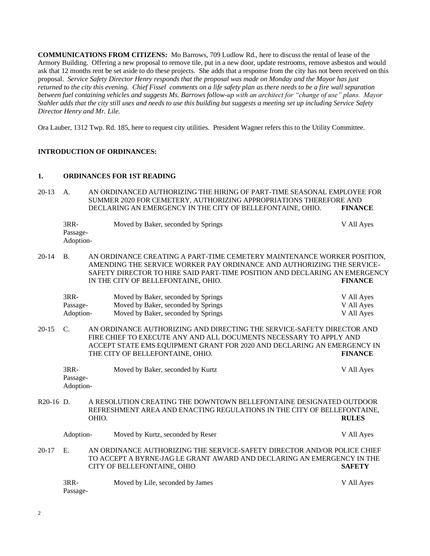**COMMUNICATIONS FROM CITIZENS:** Mo Barrows, 709 Ludlow Rd., here to discuss the rental of lease of the Armory Building. Offering a new proposal to remove tile, put in a new door, update restrooms, remove asbestos and would ask that 12 months rent be set aside to do these projects. She adds that a response from the city has not been received on this proposal. *Service Safety Director Henry responds that the proposal was made on Monday and the Mayor has just returned to the city this evening. Chief Fissel comments on a life safety plan as there needs to be a fire wall separation between fuel containing vehicles and suggests Ms. Barrows follow-up with an architect for "change of use" plans. Mayor Stahler adds that the city still uses and needs to use this building but suggests a meeting set up including Service Safety Director Henry and Mr. Lile.*

Ora Lauber, 1312 Twp. Rd. 185, here to request city utilities. President Wagner refers this to the Utility Committee.

### **INTRODUCTION OF ORDINANCES:**

#### **1. ORDINANCES FOR 1ST READING**

20-13 A. AN ORDINANCED AUTHORIZING THE HIRING OF PART-TIME SEASONAL EMPLOYEE FOR SUMMER 2020 FOR CEMETERY, AUTHORIZING APPROPRIATIONS THEREFORE AND DECLARING AN EMERGENCY IN THE CITY OF BELLEFONTAINE, OHIO. **FINANCE**

| 3RR-      | Moved by Baker, seconded by Springs | V All Ayes |
|-----------|-------------------------------------|------------|
| Passage-  |                                     |            |
| Adoption- |                                     |            |

20-14 B. AN ORDINANCE CREATING A PART-TIME CEMETERY MAINTENANCE WORKER POSITION, AMENDING THE SERVICE WORKER PAY ORDINANCE AND AUTHORIZING THE SERVICE-SAFETY DIRECTOR TO HIRE SAID PART-TIME POSITION AND DECLARING AN EMERGENCY IN THE CITY OF BELLEFONTAINE, OHIO. **FINANCE**

| 3RR-      | Moved by Baker, seconded by Springs | V All Ayes |
|-----------|-------------------------------------|------------|
| Passage-  | Moved by Baker, seconded by Springs | V All Ayes |
| Adoption- | Moved by Baker, seconded by Springs | V All Ayes |

20-15 C. AN ORDINANCE AUTHORIZING AND DIRECTING THE SERVICE-SAFETY DIRECTOR AND FIRE CHIEF TO EXECUTE ANY AND ALL DOCUMENTS NECESSARY TO APPLY AND ACCEPT STATE EMS EQUIPMENT GRANT FOR 2020 AND DECLARING AN EMERGENCY IN THE CITY OF BELLEFONTAINE, OHIO. **FINANCE**

| 3RR-      | Moved by Baker, seconded by Kurtz | V All Ayes |
|-----------|-----------------------------------|------------|
| Passage-  |                                   |            |
| Adoption- |                                   |            |

R20-16 D. A RESOLUTION CREATING THE DOWNTOWN BELLEFONTAINE DESIGNATED OUTDOOR REFRESHMENT AREA AND ENACTING REGULATIONS IN THE CITY OF BELLEFONTAINE, OHIO. **RULES**

|          | Adoption- | Moved by Kurtz, seconded by Reser                                                                                                                                                 |  |  |  | V All Ayes    |  |
|----------|-----------|-----------------------------------------------------------------------------------------------------------------------------------------------------------------------------------|--|--|--|---------------|--|
| 20-17 E. |           | AN ORDINANCE AUTHORIZING THE SERVICE-SAFETY DIRECTOR AND/OR POLICE CHIEF<br>TO ACCEPT A BYRNE-JAG LE GRANT AWARD AND DECLARING AN EMERGENCY IN THE<br>CITY OF BELLEFONTAINE, OHIO |  |  |  | <b>SAFETY</b> |  |
|          |           |                                                                                                                                                                                   |  |  |  |               |  |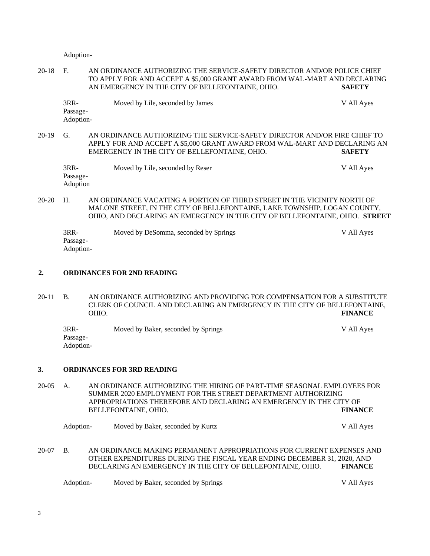Adoption-

20-18 F. AN ORDINANCE AUTHORIZING THE SERVICE-SAFETY DIRECTOR AND/OR POLICE CHIEF TO APPLY FOR AND ACCEPT A \$5,000 GRANT AWARD FROM WAL-MART AND DECLARING AN EMERGENCY IN THE CITY OF BELLEFONTAINE, OHIO. **SAFETY**

| 3RR-                  | Moved by Lile, seconded by James | V All Ayes |
|-----------------------|----------------------------------|------------|
| Passage-<br>Adoption- |                                  |            |
|                       |                                  |            |

20-19 G. AN ORDINANCE AUTHORIZING THE SERVICE-SAFETY DIRECTOR AND/OR FIRE CHIEF TO APPLY FOR AND ACCEPT A \$5,000 GRANT AWARD FROM WAL-MART AND DECLARING AN EMERGENCY IN THE CITY OF BELLEFONTAINE, OHIO. **SAFETY**

| 3RR-     | Moved by Lile, seconded by Reser | V All Ayes |
|----------|----------------------------------|------------|
| Passage- |                                  |            |
| Adoption |                                  |            |

20-20 H. AN ORDINANCE VACATING A PORTION OF THIRD STREET IN THE VICINITY NORTH OF MALONE STREET, IN THE CITY OF BELLEFONTAINE, LAKE TOWNSHIP, LOGAN COUNTY, OHIO, AND DECLARING AN EMERGENCY IN THE CITY OF BELLEFONTAINE, OHIO. **STREET**

| 3RR-      | Moved by DeSomma, seconded by Springs | V All Ayes |
|-----------|---------------------------------------|------------|
| Passage-  |                                       |            |
| Adoption- |                                       |            |

### **2. ORDINANCES FOR 2ND READING**

20-11 B. AN ORDINANCE AUTHORIZING AND PROVIDING FOR COMPENSATION FOR A SUBSTITUTE CLERK OF COUNCIL AND DECLARING AN EMERGENCY IN THE CITY OF BELLEFONTAINE, OHIO. **FINANCE**

3RR- Moved by Baker, seconded by Springs V All Ayes Passage-Adoption-

#### **3. ORDINANCES FOR 3RD READING**

20-05 A. AN ORDINANCE AUTHORIZING THE HIRING OF PART-TIME SEASONAL EMPLOYEES FOR SUMMER 2020 EMPLOYMENT FOR THE STREET DEPARTMENT AUTHORIZING APPROPRIATIONS THEREFORE AND DECLARING AN EMERGENCY IN THE CITY OF BELLEFONTAINE, OHIO. **FINANCE**

Adoption- Moved by Baker, seconded by Kurtz V All Ayes

20-07 B. AN ORDINANCE MAKING PERMANENT APPROPRIATIONS FOR CURRENT EXPENSES AND OTHER EXPENDITURES DURING THE FISCAL YEAR ENDING DECEMBER 31, 2020, AND DECLARING AN EMERGENCY IN THE CITY OF BELLEFONTAINE, OHIO. **FINANCE**

Adoption- Moved by Baker, seconded by Springs V All Ayes